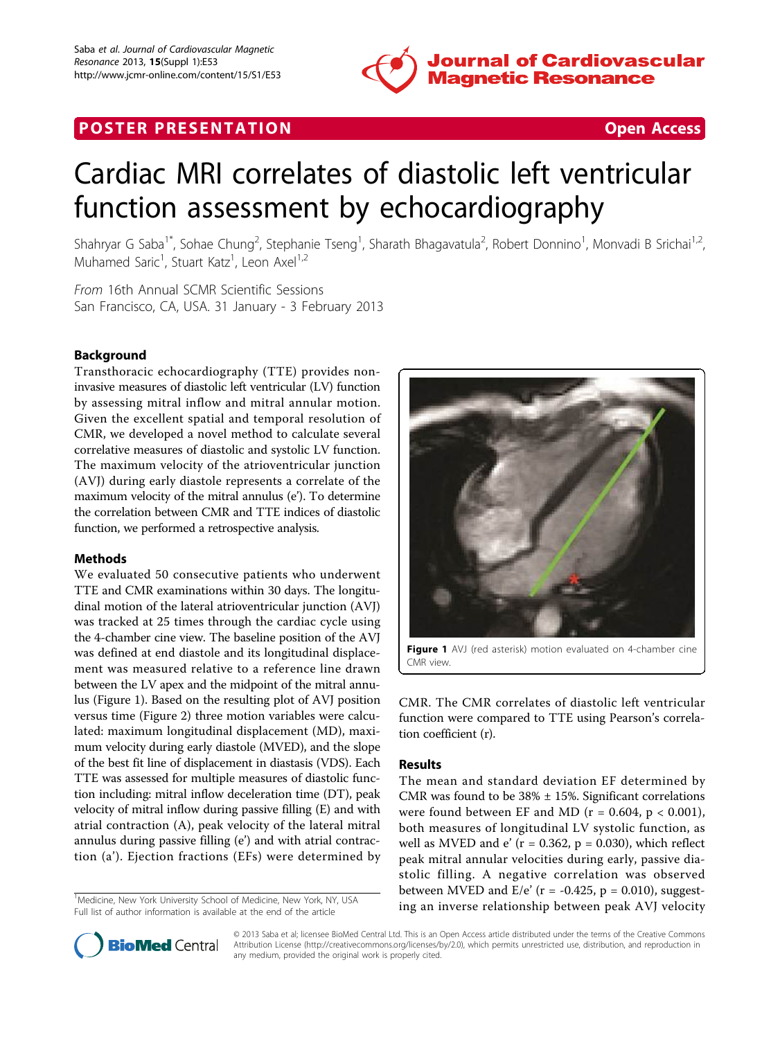

## **POSTER PRESENTATION CONSUMING THE SECOND CONSUMING THE SECOND CONSUMING THE SECOND CONSUMING THE SECOND CONSUMING THE SECOND CONSUMING THE SECOND CONSUMING THE SECOND CONSUMING THE SECOND CONSUMING THE SECOND CONSUMING**

# Cardiac MRI correlates of diastolic left ventricular function assessment by echocardiography

Shahryar G Saba<sup>1\*</sup>, Sohae Chung<sup>2</sup>, Stephanie Tseng<sup>1</sup>, Sharath Bhagavatula<sup>2</sup>, Robert Donnino<sup>1</sup>, Monvadi B Srichai<sup>1,2</sup>, Muhamed Saric<sup>1</sup>, Stuart Katz<sup>1</sup>, Leon Axel<sup>1,2</sup>

From 16th Annual SCMR Scientific Sessions San Francisco, CA, USA. 31 January - 3 February 2013

### Background

Transthoracic echocardiography (TTE) provides noninvasive measures of diastolic left ventricular (LV) function by assessing mitral inflow and mitral annular motion. Given the excellent spatial and temporal resolution of CMR, we developed a novel method to calculate several correlative measures of diastolic and systolic LV function. The maximum velocity of the atrioventricular junction (AVJ) during early diastole represents a correlate of the maximum velocity of the mitral annulus (e'). To determine the correlation between CMR and TTE indices of diastolic function, we performed a retrospective analysis.

#### **Methods**

We evaluated 50 consecutive patients who underwent TTE and CMR examinations within 30 days. The longitudinal motion of the lateral atrioventricular junction (AVJ) was tracked at 25 times through the cardiac cycle using the 4-chamber cine view. The baseline position of the AVJ was defined at end diastole and its longitudinal displacement was measured relative to a reference line drawn between the LV apex and the midpoint of the mitral annulus (Figure 1). Based on the resulting plot of AVJ position versus time (Figure [2\)](#page-1-0) three motion variables were calculated: maximum longitudinal displacement (MD), maximum velocity during early diastole (MVED), and the slope of the best fit line of displacement in diastasis (VDS). Each TTE was assessed for multiple measures of diastolic function including: mitral inflow deceleration time (DT), peak velocity of mitral inflow during passive filling (E) and with atrial contraction (A), peak velocity of the lateral mitral annulus during passive filling (e') and with atrial contraction (a'). Ejection fractions (EFs) were determined by

<sup>1</sup>Medicine, New York University School of Medicine, New York, NY, USA Full list of author information is available at the end of the article



Figure 1 AVJ (red asterisk) motion evaluated on 4-chamber cine CMR view.

CMR. The CMR correlates of diastolic left ventricular function were compared to TTE using Pearson's correlation coefficient (r).

#### Results

The mean and standard deviation EF determined by CMR was found to be  $38\% \pm 15\%$ . Significant correlations were found between EF and MD ( $r = 0.604$ ,  $p < 0.001$ ), both measures of longitudinal LV systolic function, as well as MVED and e'  $(r = 0.362, p = 0.030)$ , which reflect peak mitral annular velocities during early, passive diastolic filling. A negative correlation was observed between MVED and E/e' ( $r = -0.425$ ,  $p = 0.010$ ), suggesting an inverse relationship between peak AVJ velocity <sup>1</sup>



© 2013 Saba et al; licensee BioMed Central Ltd. This is an Open Access article distributed under the terms of the Creative Commons Attribution License [\(http://creativecommons.org/licenses/by/2.0](http://creativecommons.org/licenses/by/2.0)), which permits unrestricted use, distribution, and reproduction in any medium, provided the original work is properly cited.